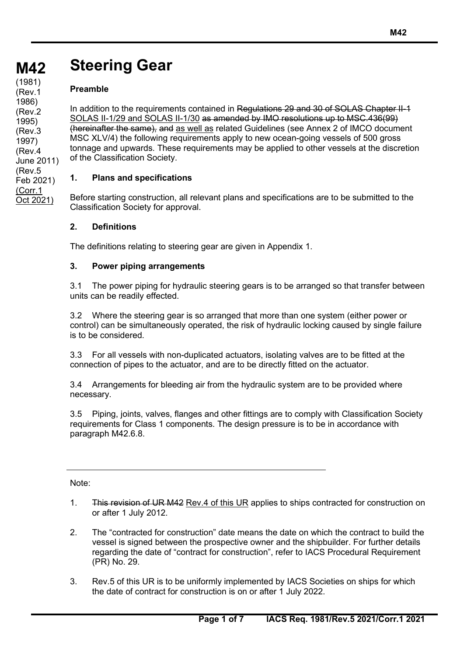## **M42 M42 Steering Gear**

## **Preamble**

In addition to the requirements contained in Regulations 29 and 30 of SOLAS Chapter II-1 SOLAS II-1/29 and SOLAS II-1/30 as amended by IMO resolutions up to MSC.436(99) (hereinafter the same), and as well as related Guidelines (see Annex 2 of IMCO document MSC XLV/4) the following requirements apply to new ocean-going vessels of 500 gross tonnage and upwards. These requirements may be applied to other vessels at the discretion of the Classification Society.

(Rev.3 1997) (Rev.4 June 2011) (Rev.5 Feb 2021) (Corr.1 Oct 2021)

**(cont)** (1981)

(Rev.1 1986) (Rev.2 1995)

## **1. Plans and specifications**

Before starting construction, all relevant plans and specifications are to be submitted to the Classification Society for approval.

#### **2. Definitions**

The definitions relating to steering gear are given in Appendix 1.

#### **3. Power piping arrangements**

3.1 The power piping for hydraulic steering gears is to be arranged so that transfer between units can be readily effected.

3.2 Where the steering gear is so arranged that more than one system (either power or control) can be simultaneously operated, the risk of hydraulic locking caused by single failure is to be considered.

3.3 For all vessels with non-duplicated actuators, isolating valves are to be fitted at the connection of pipes to the actuator, and are to be directly fitted on the actuator.

3.4 Arrangements for bleeding air from the hydraulic system are to be provided where necessary.

3.5 Piping, joints, valves, flanges and other fittings are to comply with Classification Society requirements for Class 1 components. The design pressure is to be in accordance with paragraph M42.6.8.

Note:

- 1. This revision of UR M42 Rev.4 of this UR applies to ships contracted for construction on or after 1 July 2012.
- 2. The "contracted for construction" date means the date on which the contract to build the vessel is signed between the prospective owner and the shipbuilder. For further details regarding the date of "contract for construction", refer to IACS Procedural Requirement (PR) No. 29.
- 3. Rev.5 of this UR is to be uniformly implemented by IACS Societies on ships for which the date of contract for construction is on or after 1 July 2022.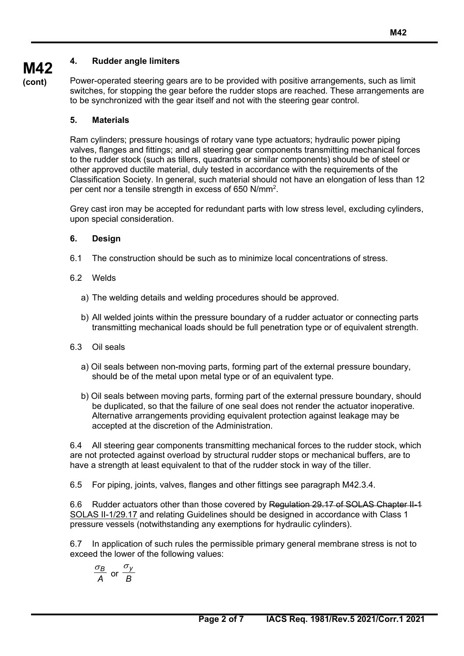## **4. Rudder angle limiters**

**M42 (cont)**

Power-operated steering gears are to be provided with positive arrangements, such as limit switches, for stopping the gear before the rudder stops are reached. These arrangements are to be synchronized with the gear itself and not with the steering gear control.

#### **5. Materials**

Ram cylinders; pressure housings of rotary vane type actuators; hydraulic power piping valves, flanges and fittings; and all steering gear components transmitting mechanical forces to the rudder stock (such as tillers, quadrants or similar components) should be of steel or other approved ductile material, duly tested in accordance with the requirements of the Classification Society. In general, such material should not have an elongation of less than 12 per cent nor a tensile strength in excess of 650 N/mm<sup>2</sup>.

Grey cast iron may be accepted for redundant parts with low stress level, excluding cylinders, upon special consideration.

#### **6. Design**

- 6.1 The construction should be such as to minimize local concentrations of stress.
- 6.2 Welds
	- a) The welding details and welding procedures should be approved.
	- b) All welded joints within the pressure boundary of a rudder actuator or connecting parts transmitting mechanical loads should be full penetration type or of equivalent strength.
- 6.3 Oil seals
	- a) Oil seals between non-moving parts, forming part of the external pressure boundary, should be of the metal upon metal type or of an equivalent type.
	- b) Oil seals between moving parts, forming part of the external pressure boundary, should be duplicated, so that the failure of one seal does not render the actuator inoperative. Alternative arrangements providing equivalent protection against leakage may be accepted at the discretion of the Administration.

6.4 All steering gear components transmitting mechanical forces to the rudder stock, which are not protected against overload by structural rudder stops or mechanical buffers, are to have a strength at least equivalent to that of the rudder stock in way of the tiller.

6.5 For piping, joints, valves, flanges and other fittings see paragraph M42.3.4.

6.6 Rudder actuators other than those covered by Regulation 29.17 of SOLAS Chapter II-1 SOLAS II-1/29.17 and relating Guidelines should be designed in accordance with Class 1 pressure vessels (notwithstanding any exemptions for hydraulic cylinders).

6.7 In application of such rules the permissible primary general membrane stress is not to exceed the lower of the following values:

$$
\frac{\sigma_B}{A} \text{ or } \frac{\sigma_y}{B}
$$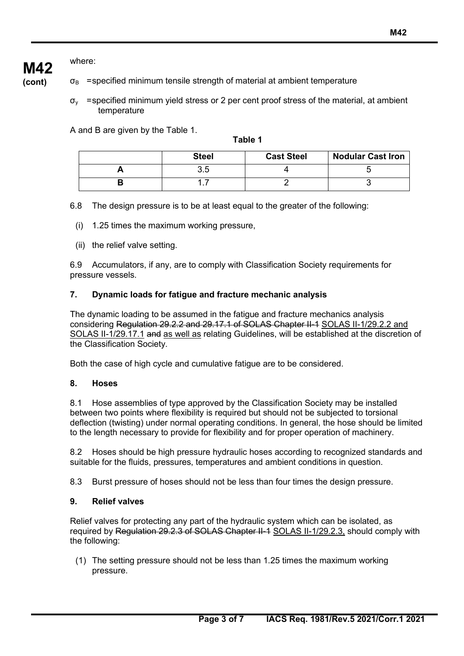## where:

**M42**

**(cont)**  $\sigma_{\rm B}$  =specified minimum tensile strength of material at ambient temperature

> $\sigma_{v}$  =specified minimum vield stress or 2 per cent proof stress of the material, at ambient temperature

A and B are given by the Table 1.

**Table 1**

| <b>Steel</b> | <b>Cast Steel</b> | <b>Nodular Cast Iron</b> |
|--------------|-------------------|--------------------------|
| ن. ب         |                   |                          |
|              |                   |                          |

6.8 The design pressure is to be at least equal to the greater of the following:

- (i) 1.25 times the maximum working pressure,
- (ii) the relief valve setting.

6.9 Accumulators, if any, are to comply with Classification Society requirements for pressure vessels.

## **7. Dynamic loads for fatigue and fracture mechanic analysis**

The dynamic loading to be assumed in the fatigue and fracture mechanics analysis considering Regulation 29.2.2 and 29.17.1 of SOLAS Chapter II-1 SOLAS II-1/29.2.2 and SOLAS II-1/29.17.1 and as well as relating Guidelines, will be established at the discretion of the Classification Society.

Both the case of high cycle and cumulative fatigue are to be considered.

## **8. Hoses**

8.1 Hose assemblies of type approved by the Classification Society may be installed between two points where flexibility is required but should not be subjected to torsional deflection (twisting) under normal operating conditions. In general, the hose should be limited to the length necessary to provide for flexibility and for proper operation of machinery.

8.2 Hoses should be high pressure hydraulic hoses according to recognized standards and suitable for the fluids, pressures, temperatures and ambient conditions in question.

8.3 Burst pressure of hoses should not be less than four times the design pressure.

## **9. Relief valves**

Relief valves for protecting any part of the hydraulic system which can be isolated, as required by Regulation 29.2.3 of SOLAS Chapter II-1 SOLAS II-1/29.2.3, should comply with the following:

(1) The setting pressure should not be less than 1.25 times the maximum working pressure.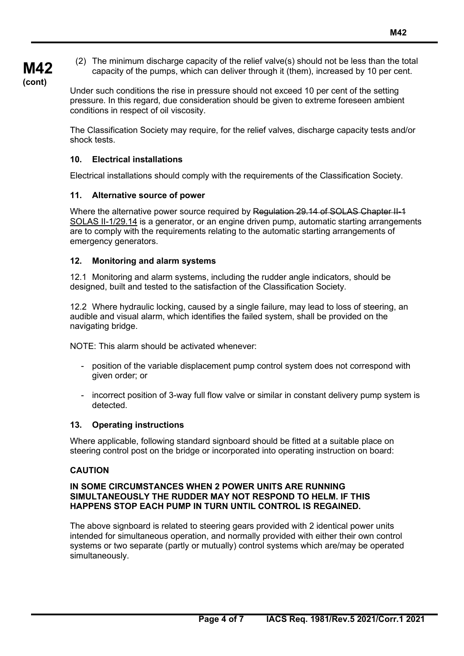(2) The minimum discharge capacity of the relief valve(s) should not be less than the total capacity of the pumps, which can deliver through it (them), increased by 10 per cent.

**M42 (cont)**

Under such conditions the rise in pressure should not exceed 10 per cent of the setting pressure. In this regard, due consideration should be given to extreme foreseen ambient conditions in respect of oil viscosity.

The Classification Society may require, for the relief valves, discharge capacity tests and/or shock tests.

## **10. Electrical installations**

Electrical installations should comply with the requirements of the Classification Society.

## **11. Alternative source of power**

Where the alternative power source required by Regulation 29.14 of SOLAS Chapter II-1 SOLAS II-1/29.14 is a generator, or an engine driven pump, automatic starting arrangements are to comply with the requirements relating to the automatic starting arrangements of emergency generators.

## **12. Monitoring and alarm systems**

12.1 Monitoring and alarm systems, including the rudder angle indicators, should be designed, built and tested to the satisfaction of the Classification Society.

12.2 Where hydraulic locking, caused by a single failure, may lead to loss of steering, an audible and visual alarm, which identifies the failed system, shall be provided on the navigating bridge.

NOTE: This alarm should be activated whenever:

- position of the variable displacement pump control system does not correspond with given order; or
- incorrect position of 3-way full flow valve or similar in constant delivery pump system is detected.

## **13. Operating instructions**

Where applicable, following standard signboard should be fitted at a suitable place on steering control post on the bridge or incorporated into operating instruction on board:

## **CAUTION**

#### **IN SOME CIRCUMSTANCES WHEN 2 POWER UNITS ARE RUNNING SIMULTANEOUSLY THE RUDDER MAY NOT RESPOND TO HELM. IF THIS HAPPENS STOP EACH PUMP IN TURN UNTIL CONTROL IS REGAINED.**

The above signboard is related to steering gears provided with 2 identical power units intended for simultaneous operation, and normally provided with either their own control systems or two separate (partly or mutually) control systems which are/may be operated simultaneously.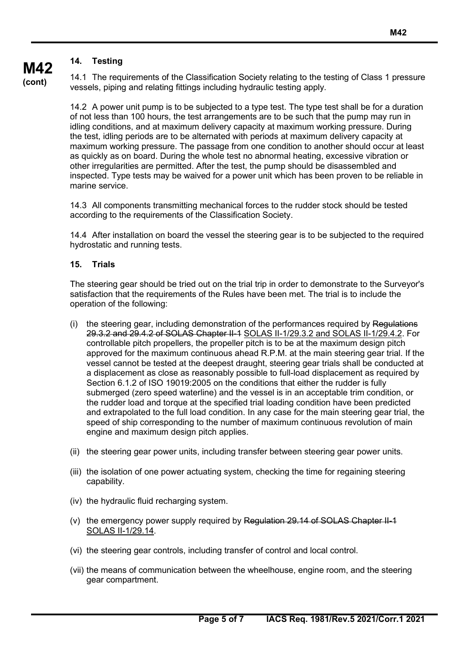## **14. Testing**

**M42 (cont)**

14.1 The requirements of the Classification Society relating to the testing of Class 1 pressure vessels, piping and relating fittings including hydraulic testing apply.

14.2 A power unit pump is to be subjected to a type test. The type test shall be for a duration of not less than 100 hours, the test arrangements are to be such that the pump may run in idling conditions, and at maximum delivery capacity at maximum working pressure. During the test, idling periods are to be alternated with periods at maximum delivery capacity at maximum working pressure. The passage from one condition to another should occur at least as quickly as on board. During the whole test no abnormal heating, excessive vibration or other irregularities are permitted. After the test, the pump should be disassembled and inspected. Type tests may be waived for a power unit which has been proven to be reliable in marine service.

14.3 All components transmitting mechanical forces to the rudder stock should be tested according to the requirements of the Classification Society.

14.4 After installation on board the vessel the steering gear is to be subjected to the required hydrostatic and running tests.

#### **15. Trials**

The steering gear should be tried out on the trial trip in order to demonstrate to the Surveyor's satisfaction that the requirements of the Rules have been met. The trial is to include the operation of the following:

- $(i)$  the steering gear, including demonstration of the performances required by Regulations 29.3.2 and 29.4.2 of SOLAS Chapter II-1 SOLAS II-1/29.3.2 and SOLAS II-1/29.4.2. For controllable pitch propellers, the propeller pitch is to be at the maximum design pitch approved for the maximum continuous ahead R.P.M. at the main steering gear trial. If the vessel cannot be tested at the deepest draught, steering gear trials shall be conducted at a displacement as close as reasonably possible to full-load displacement as required by Section 6.1.2 of ISO 19019:2005 on the conditions that either the rudder is fully submerged (zero speed waterline) and the vessel is in an acceptable trim condition, or the rudder load and torque at the specified trial loading condition have been predicted and extrapolated to the full load condition. In any case for the main steering gear trial, the speed of ship corresponding to the number of maximum continuous revolution of main engine and maximum design pitch applies.
- (ii) the steering gear power units, including transfer between steering gear power units.
- (iii) the isolation of one power actuating system, checking the time for regaining steering capability.
- (iv) the hydraulic fluid recharging system.
- (v) the emergency power supply required by Regulation  $29.14$  of SOLAS Chapter II-1 SOLAS II-1/29.14.
- (vi) the steering gear controls, including transfer of control and local control.
- (vii) the means of communication between the wheelhouse, engine room, and the steering gear compartment.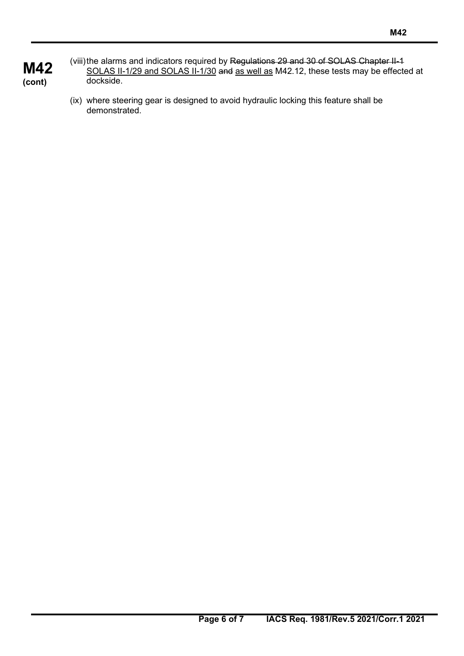- **M42 (cont)** (viii) the alarms and indicators required by Regulations 29 and 30 of SOLAS Chapter II-1 SOLAS II-1/29 and SOLAS II-1/30 and as well as M42.12, these tests may be effected at dockside.
	- (ix) where steering gear is designed to avoid hydraulic locking this feature shall be demonstrated.